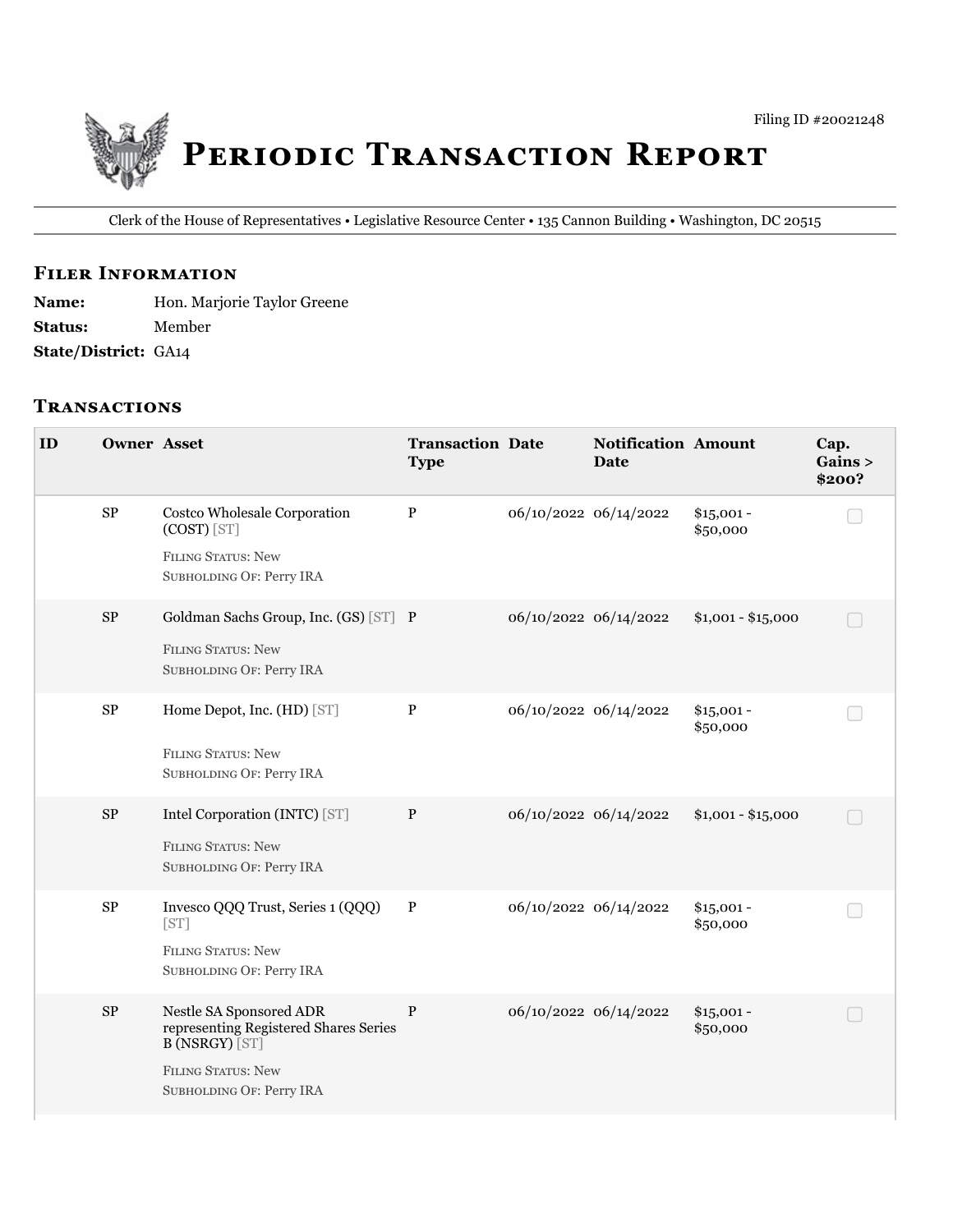

Clerk of the House of Representatives • Legislative Resource Center • 135 Cannon Building • Washington, DC 20515

## **FILER INFORMATION**

**Name:** Hon. Marjorie Taylor Greene **Status:** Member **State/District:** GA14

#### **TRANSACTIONS**

| ID | <b>Owner Asset</b> |                                                                                                                                                    | <b>Transaction Date</b><br><b>Type</b> |                       | <b>Notification Amount</b><br><b>Date</b> |                         | Cap.<br>Gains ><br>\$200? |
|----|--------------------|----------------------------------------------------------------------------------------------------------------------------------------------------|----------------------------------------|-----------------------|-------------------------------------------|-------------------------|---------------------------|
|    | SP                 | Costco Wholesale Corporation<br>$(COST)$ [ST]<br><b>FILING STATUS: New</b><br>SUBHOLDING OF: Perry IRA                                             | P                                      | 06/10/2022 06/14/2022 |                                           | $$15,001 -$<br>\$50,000 |                           |
|    | <b>SP</b>          | Goldman Sachs Group, Inc. (GS) [ST] P<br><b>FILING STATUS: New</b><br>SUBHOLDING OF: Perry IRA                                                     |                                        |                       | 06/10/2022 06/14/2022                     | $$1,001 - $15,000$      |                           |
|    | ${\bf SP}$         | Home Depot, Inc. (HD) [ST]<br><b>FILING STATUS: New</b><br>SUBHOLDING OF: Perry IRA                                                                | $\mathbf{P}$                           | 06/10/2022 06/14/2022 |                                           | $$15,001 -$<br>\$50,000 |                           |
|    | ${\rm SP}$         | Intel Corporation (INTC) [ST]<br><b>FILING STATUS: New</b><br>SUBHOLDING OF: Perry IRA                                                             | $\mathbf{P}$                           |                       | 06/10/2022 06/14/2022                     | $$1,001 - $15,000$      |                           |
|    | ${\bf SP}$         | Invesco QQQ Trust, Series 1 (QQQ)<br>[ST]<br><b>FILING STATUS: New</b><br>SUBHOLDING OF: Perry IRA                                                 | $\, {\bf P}$                           |                       | 06/10/2022 06/14/2022                     | $$15,001 -$<br>\$50,000 |                           |
|    | ${\rm SP}$         | Nestle SA Sponsored ADR<br>representing Registered Shares Series<br><b>B (NSRGY) [ST]</b><br><b>FILING STATUS: New</b><br>SUBHOLDING OF: Perry IRA | $\mathbf P$                            |                       | 06/10/2022 06/14/2022                     | $$15,001 -$<br>\$50,000 |                           |